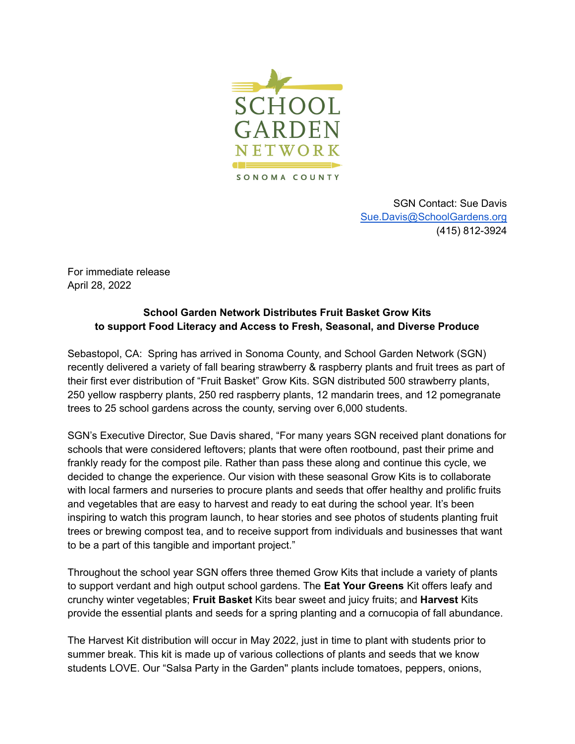

SGN Contact: Sue Davis [Sue.Davis@SchoolGardens.org](mailto:SDavis@SchoolGardens.org) (415) 812-3924

For immediate release April 28, 2022

## **School Garden Network Distributes Fruit Basket Grow Kits to support Food Literacy and Access to Fresh, Seasonal, and Diverse Produce**

Sebastopol, CA: Spring has arrived in Sonoma County, and School Garden Network (SGN) recently delivered a variety of fall bearing strawberry & raspberry plants and fruit trees as part of their first ever distribution of "Fruit Basket" Grow Kits. SGN distributed 500 strawberry plants, 250 yellow raspberry plants, 250 red raspberry plants, 12 mandarin trees, and 12 pomegranate trees to 25 school gardens across the county, serving over 6,000 students.

SGN's Executive Director, Sue Davis shared, "For many years SGN received plant donations for schools that were considered leftovers; plants that were often rootbound, past their prime and frankly ready for the compost pile. Rather than pass these along and continue this cycle, we decided to change the experience. Our vision with these seasonal Grow Kits is to collaborate with local farmers and nurseries to procure plants and seeds that offer healthy and prolific fruits and vegetables that are easy to harvest and ready to eat during the school year. It's been inspiring to watch this program launch, to hear stories and see photos of students planting fruit trees or brewing compost tea, and to receive support from individuals and businesses that want to be a part of this tangible and important project."

Throughout the school year SGN offers three themed Grow Kits that include a variety of plants to support verdant and high output school gardens. The **Eat Your Greens** Kit offers leafy and crunchy winter vegetables; **Fruit Basket** Kits bear sweet and juicy fruits; and **Harvest** Kits provide the essential plants and seeds for a spring planting and a cornucopia of fall abundance.

The Harvest Kit distribution will occur in May 2022, just in time to plant with students prior to summer break. This kit is made up of various collections of plants and seeds that we know students LOVE. Our "Salsa Party in the Garden'' plants include tomatoes, peppers, onions,